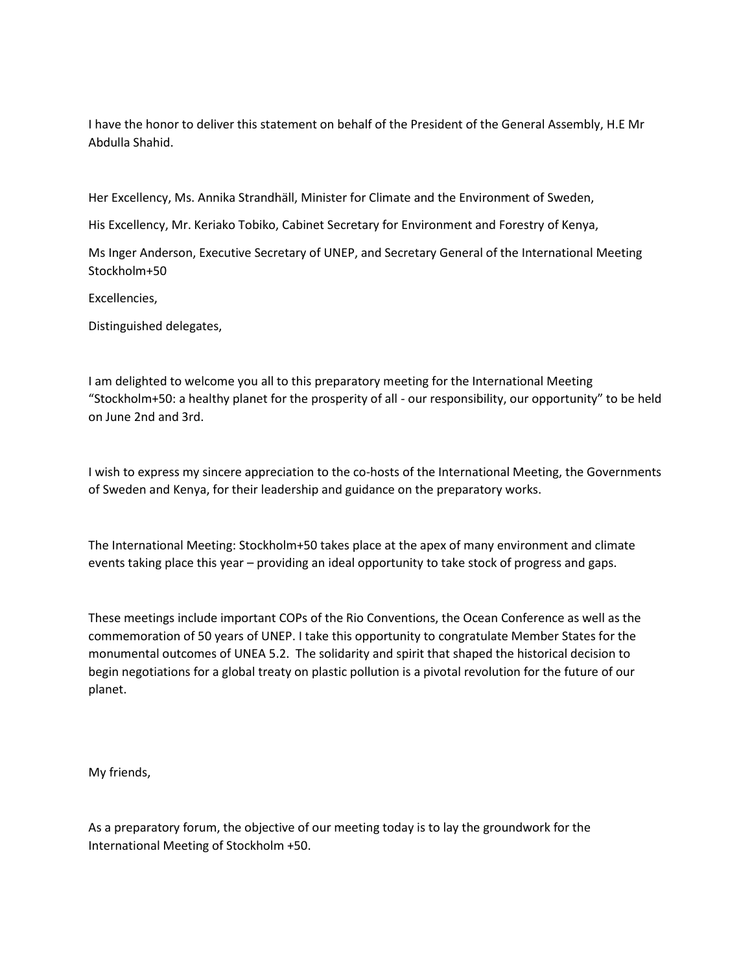I have the honor to deliver this statement on behalf of the President of the General Assembly, H.E Mr Abdulla Shahid.

Her Excellency, Ms. Annika Strandhäll, Minister for Climate and the Environment of Sweden,

His Excellency, Mr. Keriako Tobiko, Cabinet Secretary for Environment and Forestry of Kenya,

Ms Inger Anderson, Executive Secretary of UNEP, and Secretary General of the International Meeting Stockholm+50

Excellencies,

Distinguished delegates,

I am delighted to welcome you all to this preparatory meeting for the International Meeting "Stockholm+50: a healthy planet for the prosperity of all - our responsibility, our opportunity" to be held on June 2nd and 3rd.

I wish to express my sincere appreciation to the co-hosts of the International Meeting, the Governments of Sweden and Kenya, for their leadership and guidance on the preparatory works.

The International Meeting: Stockholm+50 takes place at the apex of many environment and climate events taking place this year – providing an ideal opportunity to take stock of progress and gaps.

These meetings include important COPs of the Rio Conventions, the Ocean Conference as well as the commemoration of 50 years of UNEP. I take this opportunity to congratulate Member States for the monumental outcomes of UNEA 5.2. The solidarity and spirit that shaped the historical decision to begin negotiations for a global treaty on plastic pollution is a pivotal revolution for the future of our planet.

My friends,

As a preparatory forum, the objective of our meeting today is to lay the groundwork for the International Meeting of Stockholm +50.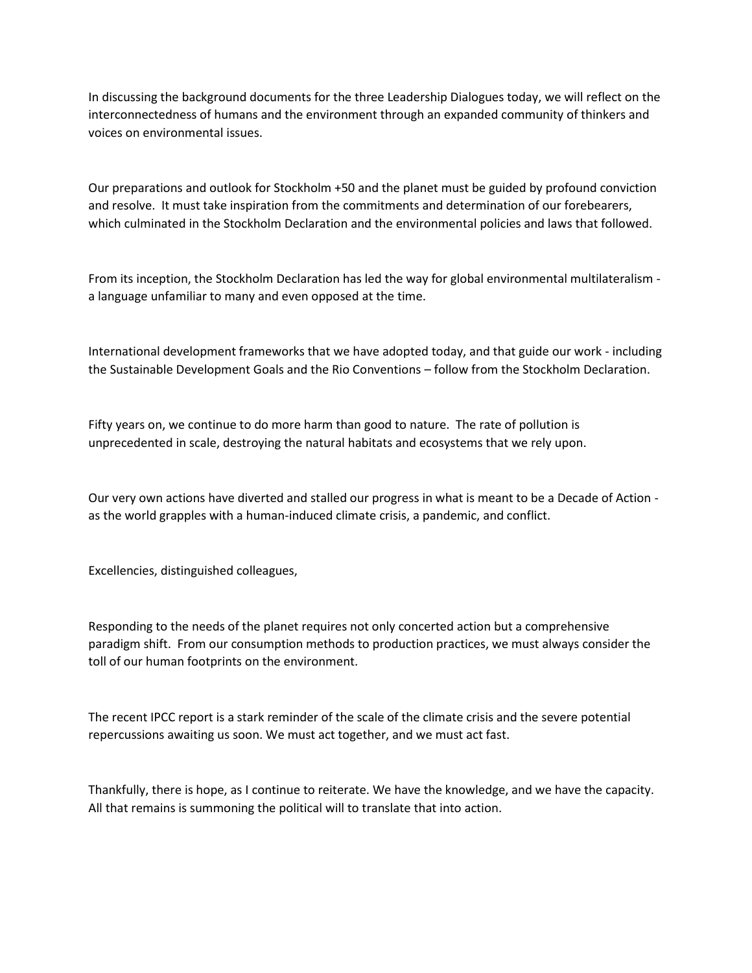In discussing the background documents for the three Leadership Dialogues today, we will reflect on the interconnectedness of humans and the environment through an expanded community of thinkers and voices on environmental issues.

Our preparations and outlook for Stockholm +50 and the planet must be guided by profound conviction and resolve. It must take inspiration from the commitments and determination of our forebearers, which culminated in the Stockholm Declaration and the environmental policies and laws that followed.

From its inception, the Stockholm Declaration has led the way for global environmental multilateralism a language unfamiliar to many and even opposed at the time.

International development frameworks that we have adopted today, and that guide our work - including the Sustainable Development Goals and the Rio Conventions – follow from the Stockholm Declaration.

Fifty years on, we continue to do more harm than good to nature. The rate of pollution is unprecedented in scale, destroying the natural habitats and ecosystems that we rely upon.

Our very own actions have diverted and stalled our progress in what is meant to be a Decade of Action as the world grapples with a human-induced climate crisis, a pandemic, and conflict.

Excellencies, distinguished colleagues,

Responding to the needs of the planet requires not only concerted action but a comprehensive paradigm shift. From our consumption methods to production practices, we must always consider the toll of our human footprints on the environment.

The recent IPCC report is a stark reminder of the scale of the climate crisis and the severe potential repercussions awaiting us soon. We must act together, and we must act fast.

Thankfully, there is hope, as I continue to reiterate. We have the knowledge, and we have the capacity. All that remains is summoning the political will to translate that into action.